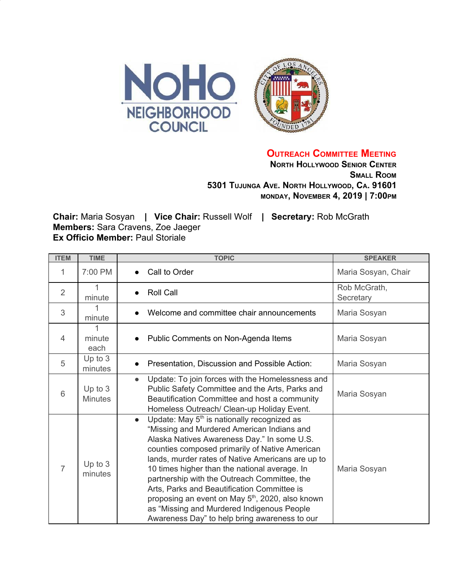

**OUTREACH COMMITTEE MEETING**

**NORTH HOLLYWOOD SENIOR CENTER SMALL ROOM 5301 TUJUNGA AVE. NORTH HOLLYWOOD, CA. 91601 MONDAY, NOVEMBER 4, 2019 | 7:00PM**

**Chair:** Maria Sosyan **| Vice Chair:** Russell Wolf **| Secretary:** Rob McGrath **Members:** Sara Cravens, Zoe Jaeger **Ex Officio Member:** Paul Storiale

| <b>ITEM</b>    | <b>TIME</b>                 | <b>TOPIC</b>                                                                                                                                                                                                                                                                                                                                                                                                                                                                                                                                                                            | <b>SPEAKER</b>            |
|----------------|-----------------------------|-----------------------------------------------------------------------------------------------------------------------------------------------------------------------------------------------------------------------------------------------------------------------------------------------------------------------------------------------------------------------------------------------------------------------------------------------------------------------------------------------------------------------------------------------------------------------------------------|---------------------------|
| 1              | 7:00 PM                     | Call to Order                                                                                                                                                                                                                                                                                                                                                                                                                                                                                                                                                                           | Maria Sosyan, Chair       |
| $\overline{2}$ | minute                      | <b>Roll Call</b><br>$\bullet$                                                                                                                                                                                                                                                                                                                                                                                                                                                                                                                                                           | Rob McGrath,<br>Secretary |
| 3              | 1<br>minute                 | Welcome and committee chair announcements                                                                                                                                                                                                                                                                                                                                                                                                                                                                                                                                               | Maria Sosyan              |
| $\overline{4}$ | minute<br>each              | Public Comments on Non-Agenda Items                                                                                                                                                                                                                                                                                                                                                                                                                                                                                                                                                     | Maria Sosyan              |
| 5              | Up to $3$<br>minutes        | Presentation, Discussion and Possible Action:                                                                                                                                                                                                                                                                                                                                                                                                                                                                                                                                           | Maria Sosyan              |
| 6              | Up to $3$<br><b>Minutes</b> | Update: To join forces with the Homelessness and<br>$\bullet$<br>Public Safety Committee and the Arts, Parks and<br>Beautification Committee and host a community<br>Homeless Outreach/ Clean-up Holiday Event.                                                                                                                                                                                                                                                                                                                                                                         | Maria Sosyan              |
| 7              | Up to 3<br>minutes          | Update: May 5 <sup>th</sup> is nationally recognized as<br>$\bullet$<br>"Missing and Murdered American Indians and<br>Alaska Natives Awareness Day." In some U.S.<br>counties composed primarily of Native American<br>lands, murder rates of Native Americans are up to<br>10 times higher than the national average. In<br>partnership with the Outreach Committee, the<br>Arts, Parks and Beautification Committee is<br>proposing an event on May 5 <sup>th</sup> , 2020, also known<br>as "Missing and Murdered Indigenous People<br>Awareness Day" to help bring awareness to our | Maria Sosyan              |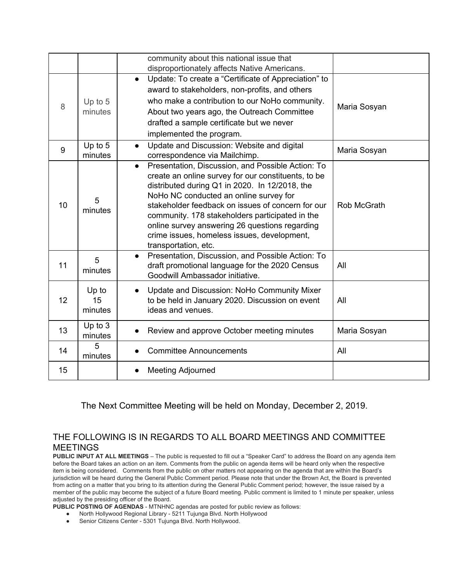|    |                        | community about this national issue that<br>disproportionately affects Native Americans.                                                                                                                                                                                                                                                                                                                                                           |              |
|----|------------------------|----------------------------------------------------------------------------------------------------------------------------------------------------------------------------------------------------------------------------------------------------------------------------------------------------------------------------------------------------------------------------------------------------------------------------------------------------|--------------|
| 8  | Up to 5<br>minutes     | Update: To create a "Certificate of Appreciation" to<br>$\bullet$<br>award to stakeholders, non-profits, and others<br>who make a contribution to our NoHo community.<br>About two years ago, the Outreach Committee<br>drafted a sample certificate but we never<br>implemented the program.                                                                                                                                                      | Maria Sosyan |
| 9  | Up to $5$<br>minutes   | Update and Discussion: Website and digital<br>$\bullet$<br>correspondence via Mailchimp.                                                                                                                                                                                                                                                                                                                                                           | Maria Sosyan |
| 10 | 5<br>minutes           | Presentation, Discussion, and Possible Action: To<br>$\bullet$<br>create an online survey for our constituents, to be<br>distributed during Q1 in 2020. In 12/2018, the<br>NoHo NC conducted an online survey for<br>stakeholder feedback on issues of concern for our<br>community. 178 stakeholders participated in the<br>online survey answering 26 questions regarding<br>crime issues, homeless issues, development,<br>transportation, etc. | Rob McGrath  |
| 11 | 5<br>minutes           | Presentation, Discussion, and Possible Action: To<br>$\bullet$<br>draft promotional language for the 2020 Census<br>Goodwill Ambassador initiative.                                                                                                                                                                                                                                                                                                | All          |
| 12 | Up to<br>15<br>minutes | Update and Discussion: NoHo Community Mixer<br>$\bullet$<br>to be held in January 2020. Discussion on event<br>ideas and venues.                                                                                                                                                                                                                                                                                                                   | All          |
| 13 | Up to $3$<br>minutes   | Review and approve October meeting minutes                                                                                                                                                                                                                                                                                                                                                                                                         | Maria Sosyan |
| 14 | 5<br>minutes           | <b>Committee Announcements</b>                                                                                                                                                                                                                                                                                                                                                                                                                     | All          |
| 15 |                        | <b>Meeting Adjourned</b>                                                                                                                                                                                                                                                                                                                                                                                                                           |              |

The Next Committee Meeting will be held on Monday, December 2, 2019.

## THE FOLLOWING IS IN REGARDS TO ALL BOARD MEETINGS AND COMMITTEE MEETINGS

**PUBLIC INPUT AT ALL MEETINGS** – The public is requested to fill out a "Speaker Card" to address the Board on any agenda item before the Board takes an action on an item. Comments from the public on agenda items will be heard only when the respective item is being considered. Comments from the public on other matters not appearing on the agenda that are within the Board's jurisdiction will be heard during the General Public Comment period. Please note that under the Brown Act, the Board is prevented from acting on a matter that you bring to its attention during the General Public Comment period; however, the issue raised by a member of the public may become the subject of a future Board meeting. Public comment is limited to 1 minute per speaker, unless adjusted by the presiding officer of the Board.

- **PUBLIC POSTING OF AGENDAS** MTNHNC agendas are posted for public review as follows:
	- North Hollywood Regional Library 5211 Tujunga Blvd. North Hollywood
	- Senior Citizens Center 5301 Tujunga Blvd. North Hollywood.